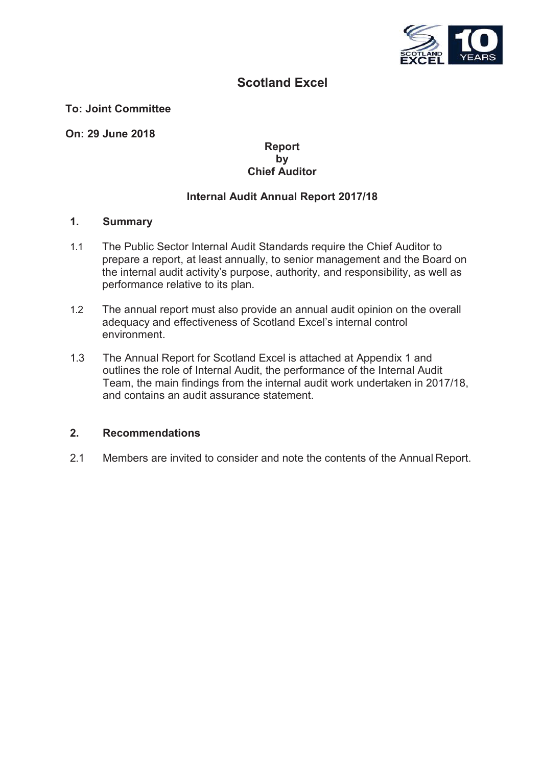

### **Scotland Excel**

#### **To: Joint Committee**

**On: 29 June 2018**

#### **Report by Chief Auditor**

#### **Internal Audit Annual Report 2017/18**

#### **1. Summary**

- 1.1 The Public Sector Internal Audit Standards require the Chief Auditor to prepare a report, at least annually, to senior management and the Board on the internal audit activity's purpose, authority, and responsibility, as well as performance relative to its plan.
- 1.2 The annual report must also provide an annual audit opinion on the overall adequacy and effectiveness of Scotland Excel's internal control environment.
- 1.3 The Annual Report for Scotland Excel is attached at Appendix 1 and outlines the role of Internal Audit, the performance of the Internal Audit Team, the main findings from the internal audit work undertaken in 2017/18, and contains an audit assurance statement.

#### **2. Recommendations**

2.1 Members are invited to consider and note the contents of the Annual Report.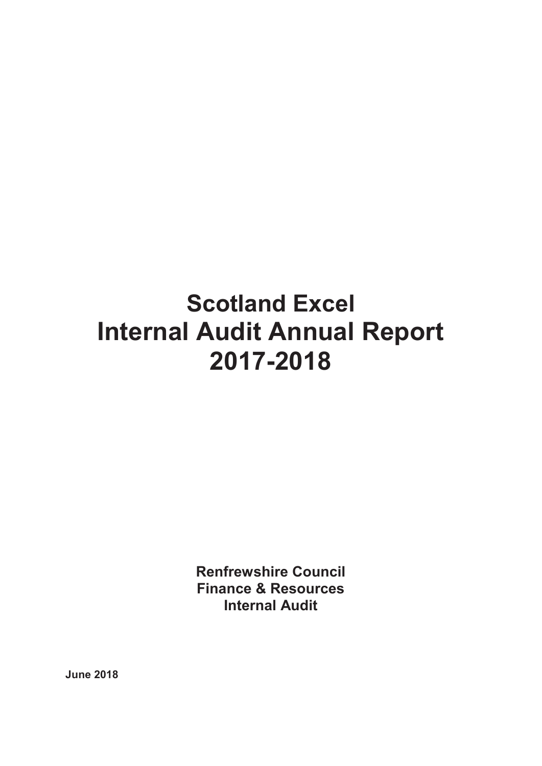# **Scotland Excel Internal Audit Annual Report 2017-2018**

**Renfrewshire Council Finance & Resources Internal Audit**

**June 2018**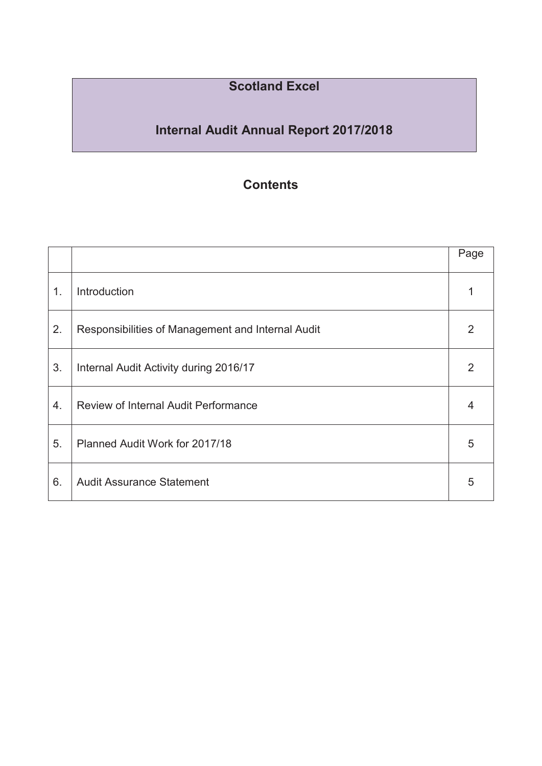### **Scotland Excel**

## **Internal Audit Annual Report 2017/2018**

### **Contents**

|    |                                                   | Page |
|----|---------------------------------------------------|------|
| 1. | Introduction                                      |      |
| 2. | Responsibilities of Management and Internal Audit | 2    |
| 3. | Internal Audit Activity during 2016/17            | 2    |
| 4. | <b>Review of Internal Audit Performance</b>       |      |
| 5. | Planned Audit Work for 2017/18                    | 5    |
| 6. | <b>Audit Assurance Statement</b>                  | 5    |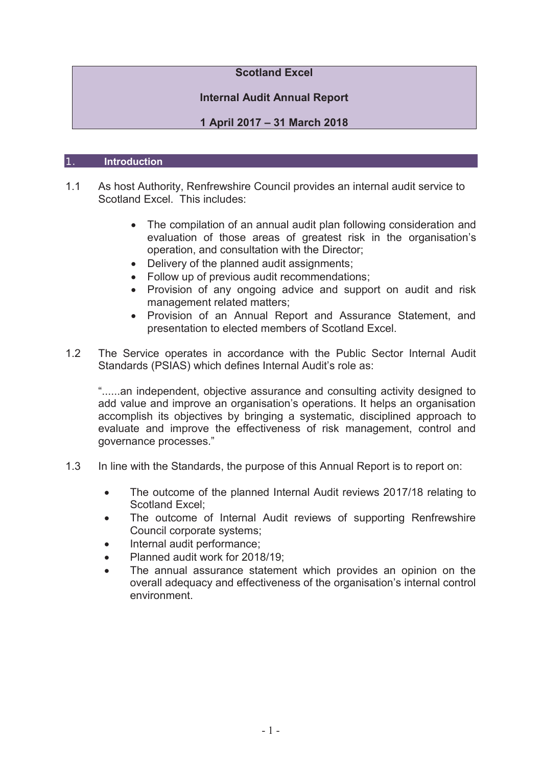#### **Scotland Excel**

#### **Internal Audit Annual Report**

#### **1 April 2017 – 31 March 2018**

#### 1. **Introduction**

- 1.1 As host Authority, Renfrewshire Council provides an internal audit service to Scotland Excel. This includes:
	- The compilation of an annual audit plan following consideration and evaluation of those areas of greatest risk in the organisation's operation, and consultation with the Director;
	- $\bullet$  Delivery of the planned audit assignments;
	- Follow up of previous audit recommendations;
	- Provision of any ongoing advice and support on audit and risk management related matters;
	- Provision of an Annual Report and Assurance Statement, and presentation to elected members of Scotland Excel.
- 1.2 The Service operates in accordance with the Public Sector Internal Audit Standards (PSIAS) which defines Internal Audit's role as:

"......an independent, objective assurance and consulting activity designed to add value and improve an organisation's operations. It helps an organisation accomplish its objectives by bringing a systematic, disciplined approach to evaluate and improve the effectiveness of risk management, control and governance processes."

- 1.3 In line with the Standards, the purpose of this Annual Report is to report on:
	- The outcome of the planned Internal Audit reviews 2017/18 relating to Scotland Excel:
	- The outcome of Internal Audit reviews of supporting Renfrewshire Council corporate systems;
	- Internal audit performance:
	- Planned audit work for 2018/19;
	- The annual assurance statement which provides an opinion on the overall adequacy and effectiveness of the organisation's internal control environment.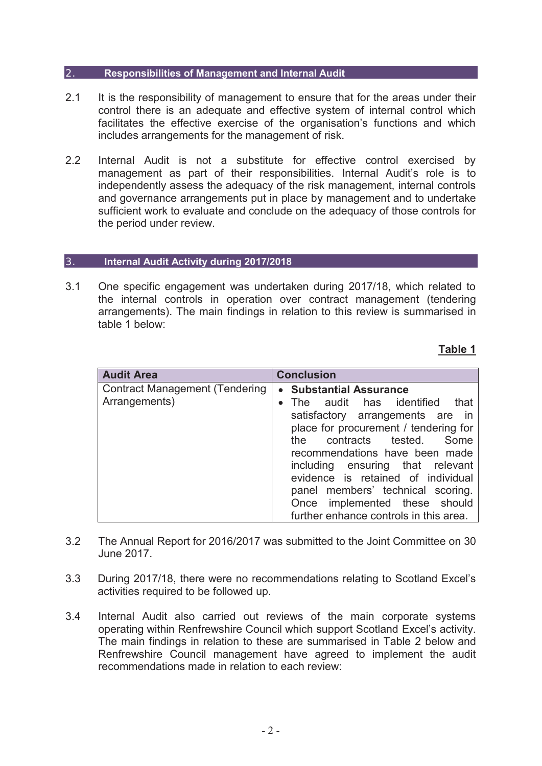#### 2. **Responsibilities of Management and Internal Audit**

- 2.1 It is the responsibility of management to ensure that for the areas under their control there is an adequate and effective system of internal control which facilitates the effective exercise of the organisation's functions and which includes arrangements for the management of risk.
- 2.2 Internal Audit is not a substitute for effective control exercised by management as part of their responsibilities. Internal Audit's role is to independently assess the adequacy of the risk management, internal controls and governance arrangements put in place by management and to undertake sufficient work to evaluate and conclude on the adequacy of those controls for the period under review.

#### 3. **Internal Audit Activity during 2017/2018**

3.1 One specific engagement was undertaken during 2017/18, which related to the internal controls in operation over contract management (tendering arrangements). The main findings in relation to this review is summarised in table 1 below:

#### **Table 1**

| <b>Audit Area</b>                                      | <b>Conclusion</b>                                                                                                                                                                                                                                                                                                                                                                                       |  |
|--------------------------------------------------------|---------------------------------------------------------------------------------------------------------------------------------------------------------------------------------------------------------------------------------------------------------------------------------------------------------------------------------------------------------------------------------------------------------|--|
| <b>Contract Management (Tendering</b><br>Arrangements) | • Substantial Assurance<br>• The audit has identified<br>that<br>satisfactory arrangements are in<br>place for procurement / tendering for<br>the contracts tested.<br>Some<br>recommendations have been made<br>including ensuring that relevant<br>evidence is retained of individual<br>panel members' technical scoring.<br>Once implemented these should<br>further enhance controls in this area. |  |

- 3.2 The Annual Report for 2016/2017 was submitted to the Joint Committee on 30 June 2017.
- 3.3 During 2017/18, there were no recommendations relating to Scotland Excel's activities required to be followed up.
- 3.4 Internal Audit also carried out reviews of the main corporate systems operating within Renfrewshire Council which support Scotland Excel's activity. The main findings in relation to these are summarised in Table 2 below and Renfrewshire Council management have agreed to implement the audit recommendations made in relation to each review: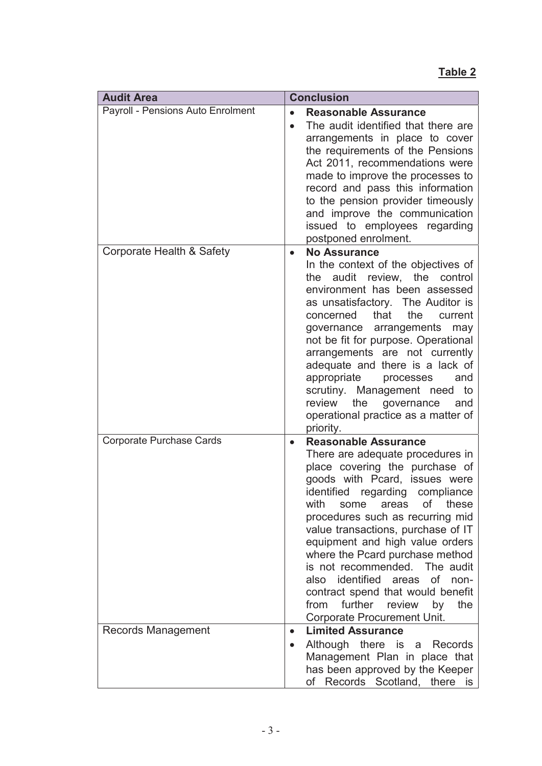| <b>Audit Area</b>                 | <b>Conclusion</b>                                                                                                                                                                                                                                                                                                                                                                                                                                                                                                                                          |  |
|-----------------------------------|------------------------------------------------------------------------------------------------------------------------------------------------------------------------------------------------------------------------------------------------------------------------------------------------------------------------------------------------------------------------------------------------------------------------------------------------------------------------------------------------------------------------------------------------------------|--|
| Payroll - Pensions Auto Enrolment | <b>Reasonable Assurance</b><br>The audit identified that there are<br>$\bullet$<br>arrangements in place to cover<br>the requirements of the Pensions<br>Act 2011, recommendations were<br>made to improve the processes to<br>record and pass this information<br>to the pension provider timeously<br>and improve the communication<br>issued to employees regarding<br>postponed enrolment.                                                                                                                                                             |  |
| Corporate Health & Safety         | <b>No Assurance</b><br>$\bullet$<br>In the context of the objectives of<br>review, the<br>the audit<br>control<br>environment has been assessed<br>as unsatisfactory. The Auditor is<br>that<br>the<br>concerned<br>current<br>governance arrangements<br>may<br>not be fit for purpose. Operational<br>arrangements are not currently<br>adequate and there is a lack of<br>appropriate<br>processes<br>and<br>scrutiny. Management need to<br>review<br>the<br>governance<br>and<br>operational practice as a matter of<br>priority.                     |  |
| <b>Corporate Purchase Cards</b>   | <b>Reasonable Assurance</b><br>$\bullet$<br>There are adequate procedures in<br>place covering the purchase of<br>goods with Pcard, issues were<br>identified regarding compliance<br>with<br>these<br>some<br>οf<br>areas<br>procedures such as recurring mid<br>value transactions, purchase of IT<br>equipment and high value orders<br>where the Pcard purchase method<br>is not recommended. The audit<br>also identified areas of non-<br>contract spend that would benefit<br>further<br>from<br>review<br>by<br>the<br>Corporate Procurement Unit. |  |
| <b>Records Management</b>         | <b>Limited Assurance</b><br>$\bullet$<br>Although there is a Records<br>$\bullet$<br>Management Plan in place that<br>has been approved by the Keeper<br>Records Scotland, there is<br>of                                                                                                                                                                                                                                                                                                                                                                  |  |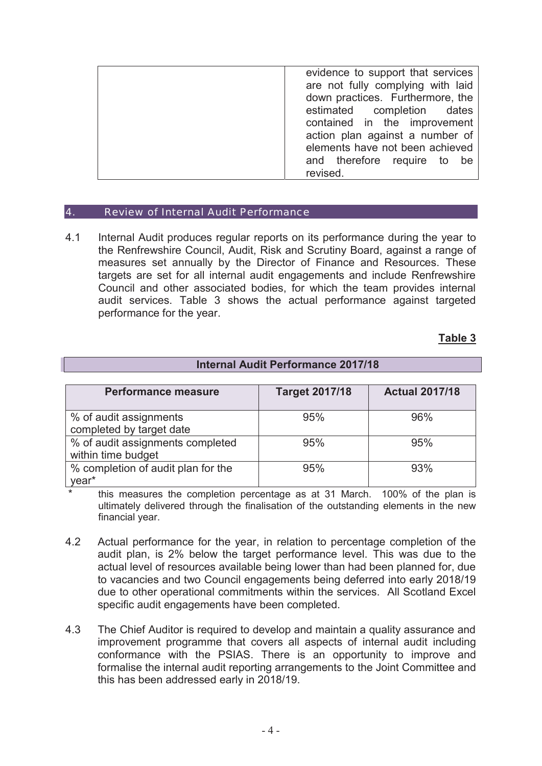| evidence to support that services<br>are not fully complying with laid<br>down practices. Furthermore, the |  |  |                              |
|------------------------------------------------------------------------------------------------------------|--|--|------------------------------|
|                                                                                                            |  |  | estimated completion dates   |
|                                                                                                            |  |  | contained in the improvement |
| action plan against a number of                                                                            |  |  |                              |
| elements have not been achieved                                                                            |  |  |                              |
| and therefore require to be                                                                                |  |  |                              |
| revised.                                                                                                   |  |  |                              |
|                                                                                                            |  |  |                              |

#### 4. Review of Internal Audit Performance

4.1 Internal Audit produces regular reports on its performance during the year to the Renfrewshire Council, Audit, Risk and Scrutiny Board, against a range of measures set annually by the Director of Finance and Resources. These targets are set for all internal audit engagements and include Renfrewshire Council and other associated bodies, for which the team provides internal audit services. Table 3 shows the actual performance against targeted performance for the year.

#### **Table 3**

| <b>Internal Audit Performance 2017/18</b> |                       |                       |  |  |  |  |
|-------------------------------------------|-----------------------|-----------------------|--|--|--|--|
|                                           |                       |                       |  |  |  |  |
| <b>Performance measure</b>                | <b>Target 2017/18</b> | <b>Actual 2017/18</b> |  |  |  |  |
|                                           |                       |                       |  |  |  |  |
| % of audit assignments                    | 95%                   | 96%                   |  |  |  |  |
| completed by target date                  |                       |                       |  |  |  |  |
| % of audit assignments completed          | 95%                   | 95%                   |  |  |  |  |
| within time budget                        |                       |                       |  |  |  |  |
| % completion of audit plan for the        | 95%                   | 93%                   |  |  |  |  |
| year*                                     |                       |                       |  |  |  |  |

\* this measures the completion percentage as at 31 March. 100% of the plan is ultimately delivered through the finalisation of the outstanding elements in the new financial year.

- 4.2 Actual performance for the year, in relation to percentage completion of the audit plan, is 2% below the target performance level. This was due to the actual level of resources available being lower than had been planned for, due to vacancies and two Council engagements being deferred into early 2018/19 due to other operational commitments within the services. All Scotland Excel specific audit engagements have been completed.
- 4.3 The Chief Auditor is required to develop and maintain a quality assurance and improvement programme that covers all aspects of internal audit including conformance with the PSIAS. There is an opportunity to improve and formalise the internal audit reporting arrangements to the Joint Committee and this has been addressed early in 2018/19.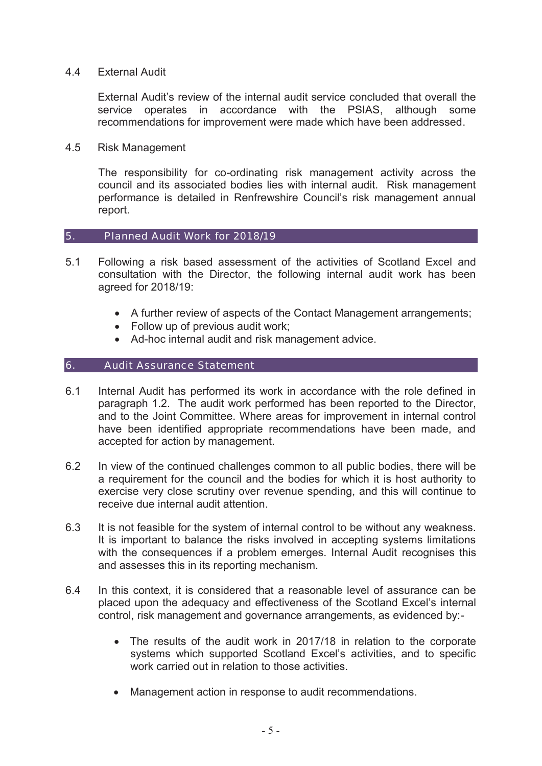#### 4.4 External Audit

External Audit's review of the internal audit service concluded that overall the service operates in accordance with the PSIAS, although some recommendations for improvement were made which have been addressed.

4.5 Risk Management

The responsibility for co-ordinating risk management activity across the council and its associated bodies lies with internal audit. Risk management performance is detailed in Renfrewshire Council's risk management annual report.

#### 5. Planned Audit Work for 2018/19

- 5.1 Following a risk based assessment of the activities of Scotland Excel and consultation with the Director, the following internal audit work has been agreed for 2018/19:
	- A further review of aspects of the Contact Management arrangements;
	- $\bullet$  Follow up of previous audit work;
	- Ad-hoc internal audit and risk management advice.

#### 6. Audit Assurance Statement

- 6.1 Internal Audit has performed its work in accordance with the role defined in paragraph 1.2. The audit work performed has been reported to the Director, and to the Joint Committee. Where areas for improvement in internal control have been identified appropriate recommendations have been made, and accepted for action by management.
- 6.2 In view of the continued challenges common to all public bodies, there will be a requirement for the council and the bodies for which it is host authority to exercise very close scrutiny over revenue spending, and this will continue to receive due internal audit attention.
- 6.3 It is not feasible for the system of internal control to be without any weakness. It is important to balance the risks involved in accepting systems limitations with the consequences if a problem emerges. Internal Audit recognises this and assesses this in its reporting mechanism.
- 6.4 In this context, it is considered that a reasonable level of assurance can be placed upon the adequacy and effectiveness of the Scotland Excel's internal control, risk management and governance arrangements, as evidenced by:-
	- The results of the audit work in 2017/18 in relation to the corporate systems which supported Scotland Excel's activities, and to specific work carried out in relation to those activities.
	- Management action in response to audit recommendations.